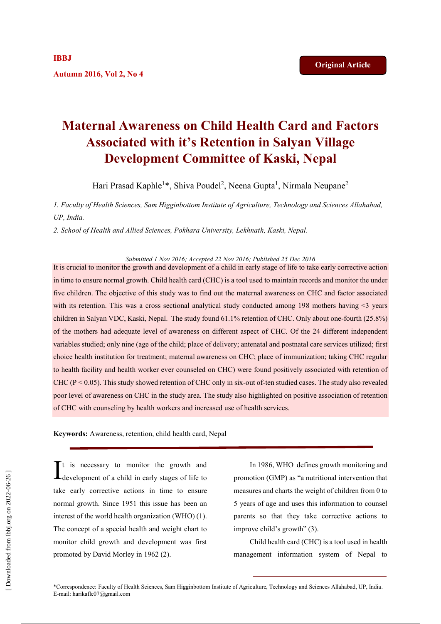# **Maternal Awareness on Child Health Card and Factors Associated with it's Retention in Salyan Village Development Committee of Kaski, Nepal**

Hari Prasad Kaphle<sup>1\*</sup>, Shiva Poudel<sup>2</sup>, Neena Gupta<sup>1</sup>, Nirmala Neupane<sup>2</sup>

*1. Faculty of Health Sciences, Sam Higginbottom Institute of Agriculture, Technology and Sciences Allahabad, UP, India.*

*2. School of Health and Allied Sciences, Pokhara University, Lekhnath, Kaski, Nepal.*

*Submitted 1 Nov 2016; Accepted 22 Nov 2016; Published 25 Dec 2016*

It is crucial to monitor the growth and development of a child in early stage of life to take early corrective action in time to ensure normal growth. Child health card (CHC) is a tool used to maintain records and monitor the under five children. The objective of this study was to find out the maternal awareness on CHC and factor associated with its retention. This was a cross sectional analytical study conducted among 198 mothers having  $\leq$ 3 years children in Salyan VDC, Kaski, Nepal. The study found 61.1% retention of CHC. Only about one-fourth (25.8%) of the mothers had adequate level of awareness on different aspect of CHC. Of the 24 different independent variables studied; only nine (age of the child; place of delivery; antenatal and postnatal care services utilized; first choice health institution for treatment; maternal awareness on CHC; place of immunization; taking CHC regular to health facility and health worker ever counseled on CHC) were found positively associated with retention of CHC ( $P < 0.05$ ). This study showed retention of CHC only in six-out of-ten studied cases. The study also revealed poor level of awareness on CHC in the study area. The study also highlighted on positive association of retention of CHC with counseling by health workers and increased use of health services.

**Keywords:** Awareness, retention, child health card, Nepal

 $\mathbf{T}$ t is necessary to monitor the growth and  $\int_{\text{development of a child in early stages of life to}}$ take early corrective actions in time to ensure normal growth. Since 1951 this issue has been an interest of the world health organization (WHO) (1). The concept of a special health and weight chart to monitor child growth and development was first promoted by David Morley in 1962 (2).

In 1986, WHO defines growth monitoring and promotion (GMP) as "a nutritional intervention that measures and charts the weight of children from 0 to 5 years of age and uses this information to counsel parents so that they take corrective actions to improve child's growth" (3).

Child health card (CHC) is a tool used in health management information system of Nepal to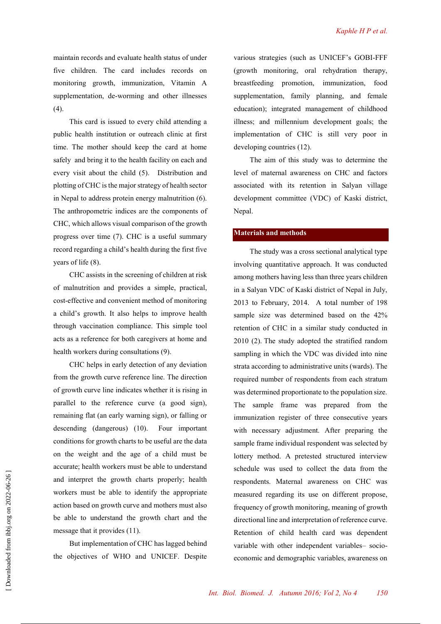maintain records and evaluate health status of under five children. The card includes records on monitoring growth, immunization, Vitamin A supplementation, de-worming and other illnesses (4).

This card is issued to every child attending a public health institution or outreach clinic at first time. The mother should keep the card at home safely and bring it to the health facility on each and every visit about the child (5). Distribution and plotting of CHC is the major strategy of health sector in Nepal to address protein energy malnutrition (6). The anthropometric indices are the components of CHC, which allows visual comparison of the growth progress over time (7). CHC is a useful summary record regarding a child's health during the first five years of life (8).

CHC assists in the screening of children at risk of malnutrition and provides a simple, practical, cost-effective and convenient method of monitoring a child's growth. It also helps to improve health through vaccination compliance. This simple tool acts as a reference for both caregivers at home and health workers during consultations (9).

CHC helps in early detection of any deviation from the growth curve reference line. The direction of growth curve line indicates whether it is rising in parallel to the reference curve (a good sign), remaining flat (an early warning sign), or falling or descending (dangerous) (10). Four important conditions for growth charts to be useful are the data on the weight and the age of a child must be accurate; health workers must be able to understand and interpret the growth charts properly; health workers must be able to identify the appropriate action based on growth curve and mothers must also be able to understand the growth chart and the message that it provides (11).

But implementation of CHC has lagged behind the objectives of WHO and UNICEF. Despite various strategies (such as UNICEF's GOBI-FFF (growth monitoring, oral rehydration therapy, breastfeeding promotion, immunization, food supplementation, family planning, and female education); integrated management of childhood illness; and millennium development goals; the implementation of CHC is still very poor in developing countries (12).

The aim of this study was to determine the level of maternal awareness on CHC and factors associated with its retention in Salyan village development committee (VDC) of Kaski district, Nepal.

#### **Materials and methods**

The study was a cross sectional analytical type involving quantitative approach. It was conducted among mothers having less than three years children in a Salyan VDC of Kaski district of Nepal in July, 2013 to February, 2014. A total number of 198 sample size was determined based on the 42% retention of CHC in a similar study conducted in 2010 (2). The study adopted the stratified random sampling in which the VDC was divided into nine strata according to administrative units (wards). The required number of respondents from each stratum was determined proportionate to the population size. The sample frame was prepared from the immunization register of three consecutive years with necessary adjustment. After preparing the sample frame individual respondent was selected by lottery method. A pretested structured interview schedule was used to collect the data from the respondents. Maternal awareness on CHC was measured regarding its use on different propose, frequency of growth monitoring, meaning of growth directional line and interpretation of reference curve. Retention of child health card was dependent variable with other independent variables– socioeconomic and demographic variables, awareness on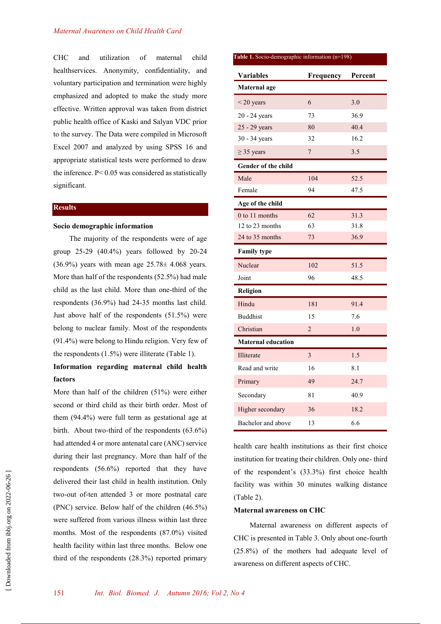CHC and utilization of maternal child healthservices. Anonymity, confidentiality, and voluntary participation and termination were highly emphasized and adopted to make the study more effective. Written approval was taken from district public health office of Kaski and Salyan VDC prior to the survey. The Data were compiled in Microsoft Excel 2007 and analyzed by using SPSS 16 and appropriate statistical tests were performed to draw the inference. P< 0.05 was considered as statistically significant.

#### **Results**

#### **Socio demographic information**

The majority of the respondents were of age group 25-29 (40.4%) years followed by 20-24  $(36.9\%)$  years with mean age  $25.78\pm 4.068$  years. More than half of the respondents (52.5%) had male child as the last child. More than one-third of the respondents (36.9%) had 24-35 months last child. Just above half of the respondents (51.5%) were belong to nuclear family. Most of the respondents (91.4%) were belong to Hindu religion. Very few of the respondents (1.5%) were illiterate (Table 1).

## **Information regarding maternal child health factors**

More than half of the children (51%) were either second or third child as their birth order. Most of them (94.4%) were full term as gestational age at birth. About two-third of the respondents (63.6%) had attended 4 or more antenatal care (ANC) service during their last pregnancy. More than half of the respondents (56.6%) reported that they have delivered their last child in health institution. Only two-out of-ten attended 3 or more postnatal care (PNC) service. Below half of the children (46.5%) were suffered from various illness within last three months. Most of the respondents (87.0%) visited health facility within last three months. Below one third of the respondents (28.3%) reported primary

| Table 1. Socio-demographic information (n=198) |                |      |  |  |  |  |
|------------------------------------------------|----------------|------|--|--|--|--|
| <b>Variables</b>                               | Frequency      |      |  |  |  |  |
| <b>Maternal</b> age                            |                |      |  |  |  |  |
| $<$ 20 years                                   | 6              | 3.0  |  |  |  |  |
| 20 - 24 years                                  | 73             | 36.9 |  |  |  |  |
| 25 - 29 years                                  | 80             | 40.4 |  |  |  |  |
| 30 - 34 years                                  | 32             | 16.2 |  |  |  |  |
| $\geq$ 35 years                                | $\overline{7}$ | 3.5  |  |  |  |  |
| <b>Gender of the child</b>                     |                |      |  |  |  |  |
| Male                                           | 104            | 52.5 |  |  |  |  |
| Female                                         | 94             | 47.5 |  |  |  |  |
| Age of the child                               |                |      |  |  |  |  |
| 0 to 11 months                                 | 62             | 31.3 |  |  |  |  |
| 12 to 23 months                                | 63             | 31.8 |  |  |  |  |
| 24 to 35 months                                | 73             | 36.9 |  |  |  |  |
| <b>Family type</b>                             |                |      |  |  |  |  |
| Nuclear                                        | 102            | 51.5 |  |  |  |  |
| Joint                                          | 96             | 48.5 |  |  |  |  |
| Religion                                       |                |      |  |  |  |  |
| Hindu                                          | 181            | 91.4 |  |  |  |  |
| <b>Buddhist</b>                                | 15             | 7.6  |  |  |  |  |
| Christian                                      | $\overline{2}$ | 1.0  |  |  |  |  |
| <b>Maternal education</b>                      |                |      |  |  |  |  |
| Illiterate                                     | 3              | 1.5  |  |  |  |  |
| Read and write                                 | 16             | 8.1  |  |  |  |  |
| Primary                                        | 49             | 24.7 |  |  |  |  |
| Secondary                                      | 81             | 40.9 |  |  |  |  |
| Higher secondary                               | 36             | 18.2 |  |  |  |  |
| Bachelor and above                             | 13             | 6.6  |  |  |  |  |

health care health institutions as their first choice institution for treating their children. Only one- third of the respondent's (33.3%) first choice health facility was within 30 minutes walking distance (Table 2).

#### **Maternal awareness on CHC**

Maternal awareness on different aspects of CHC is presented in Table 3. Only about one-fourth (25.8%) of the mothers had adequate level of awareness on different aspects of CHC.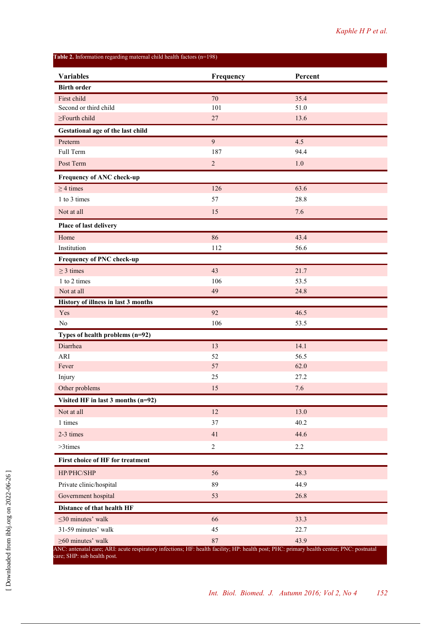**Variables Frequency Percent Birth order**  First child  $\frac{70}{25.4}$  35.4 Second or third child 101 51.0  $\ge$ Fourth child 27 13.6 **Gestational age of the last child Preterm** 4.5 Full Term 94.4 Post Term  $\qquad \qquad 2$   $\qquad \qquad 1.0$ **Frequency of ANC check-up**  $\geq 4$  times 63.6 1 to 3 times 28.8 Not at all  $15$  7.6 **Place of last delivery** Home  $86$  43.4 Institution 112 56.6 **Frequency of PNC check-up**  $\geq$  3 times 43 21.7 1 to 2 times 106 53.5 Not at all  $\begin{array}{ccc} 24.8 \end{array}$ **History of illness in last 3 months**  $Y$ es  $92$  46.5 No  $106$  53.5 **Types of health problems (n=92)** Diarrhea 14.1 anns an t-Iar-an an t-Iar-an an t-Iar-an an t-Iar-an an t-Iar-an an t-Iar-an an t-Iar-an an t-Iar-ARI 52 56.5 Fever 62.0 Injury  $25$  27.2 Other problems 15 7.6 **Visited HF in last 3 months (n=92)** Not at all  $13.0$ 1 times 37 40.2 2-3 times  $41$  44.6  $>3times$  2.2 **First choice of HF for treatment**   $HP/PHC/SHP$  56 28.3 Private clinic/hospital 89 44.9 Government hospital 53 26.8 **Distance of that health HF**  $\leq$ 30 minutes' walk 33.3 31-59 minutes' walk 45 22.7  $\geq 60$  minutes' walk 43.9 **Table 2.** Information regarding maternal child health factors (n=198) ANC: antenatal care; ARI: acute respiratory infections; HF: health facility; HP: health post; PHC: primary health center; PNC: postnatal care; SHP: sub health post.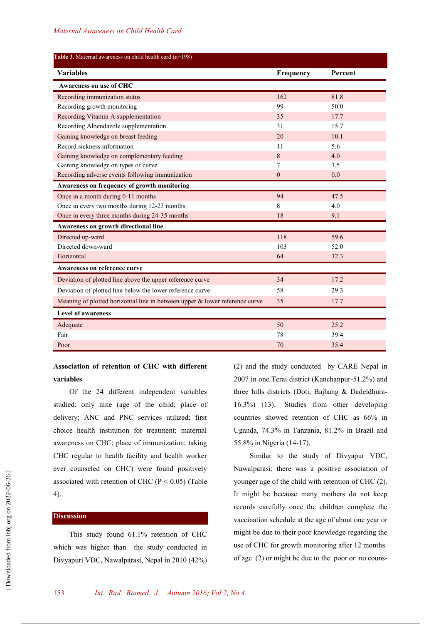| Table 3. Maternal awareness on child health card (n=198)                       |              |         |
|--------------------------------------------------------------------------------|--------------|---------|
| <b>Variables</b>                                                               | Frequency    | Percent |
| Awareness on use of CHC                                                        |              |         |
| Recording immunization status                                                  | 162          | 81.8    |
| Recording growth monitoring                                                    | 99           | 50.0    |
| Recording Vitamin A supplementation                                            | 35           | 17.7    |
| Recording Albendazole supplementation                                          | 31           | 15.7    |
| Gaining knowledge on breast feeding                                            | 20           | 10.1    |
| Record sickness information                                                    | 11           | 5.6     |
| Gaining knowledge on complementary feeding                                     | 8            | 4.0     |
| Gaining knowledge on types of curve.                                           | 7            | 3.5     |
| Recording adverse events following immunization                                | $\mathbf{0}$ | 0.0     |
| Awareness on frequency of growth monitoring                                    |              |         |
| Once in a month during 0-11 months                                             | 94           | 47.5    |
| Once in every two months during 12-23 months                                   | 8            | 4.0     |
| Once in every three months during 24-35 months                                 | 18           | 9.1     |
| Awareness on growth directional line                                           |              |         |
| Directed up-ward                                                               | 118          | 59.6    |
| Directed down-ward                                                             | 103          | 52.0    |
| Horizontal                                                                     | 64           | 32.3    |
| <b>Awareness on reference curve</b>                                            |              |         |
| Deviation of plotted line above the upper reference curve                      | 34           | 17.2    |
| Deviation of plotted line below the lower reference curve                      | 58           | 29.3    |
| Meaning of plotted horizontal line in between upper $\&$ lower reference curve | 35           | 17.7    |
| <b>Level of awareness</b>                                                      |              |         |
| Adequate                                                                       | 50           | 25.2    |
| Fair                                                                           | 78           | 39.4    |
| Poor                                                                           | 70           | 35.4    |

# **Association of retention of CHC with different variables**

Of the 24 different independent variables studied; only nine (age of the child; place of delivery; ANC and PNC services utilized; first choice health institution for treatment; maternal awareness on CHC; place of immunization; taking CHC regular to health facility and health worker ever counseled on CHC) were found positively associated with retention of CHC ( $P < 0.05$ ) (Table 4).

## **Discussion**

This study found 61.1% retention of CHC which was higher than the study conducted in Divyapuri VDC, Nawalparasi, Nepal in 2010 (42%) (2) and the study conducted by CARE Nepal in 2007 in one Terai district (Kanchanpur-51.2%) and three hills districts (Doti, Bajhang & Dadeldhura-16.3%) (13). Studies from other developing countries showed retention of CHC as 66% in Uganda, 74.3% in Tanzania, 81.2% in Brazil and 55.8% in Nigeria (14-17).

Similar to the study of Divyapur VDC, Nawalparasi; there was a positive association of younger age of the child with retention of CHC (2). It might be because many mothers do not keep records carefully once the children complete the vaccination schedule at the age of about one year or might be due to their poor knowledge regarding the use of CHC for growth monitoring after 12 months of age (2) or might be due to the poor or no couns-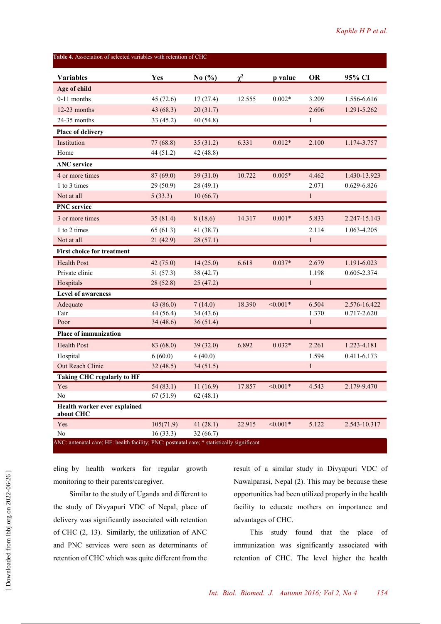| <b>Variables</b>                          | Yes       | No $(\% )$ | $\chi^2$ | p value    | <b>OR</b>    | 95% CI       |
|-------------------------------------------|-----------|------------|----------|------------|--------------|--------------|
| Age of child                              |           |            |          |            |              |              |
| $0-11$ months                             | 45(72.6)  | 17(27.4)   | 12.555   | $0.002*$   | 3.209        | 1.556-6.616  |
| 12-23 months                              | 43 (68.3) | 20(31.7)   |          |            | 2.606        | 1.291-5.262  |
| 24-35 months                              | 33(45.2)  | 40 (54.8)  |          |            | $\mathbf{1}$ |              |
| Place of delivery                         |           |            |          |            |              |              |
| Institution                               | 77 (68.8) | 35(31.2)   | 6.331    | $0.012*$   | 2.100        | 1.174-3.757  |
| Home                                      | 44 (51.2) | 42 (48.8)  |          |            |              |              |
| <b>ANC</b> service                        |           |            |          |            |              |              |
| 4 or more times                           | 87(69.0)  | 39 (31.0)  | 10.722   | $0.005*$   | 4.462        | 1.430-13.923 |
| 1 to 3 times                              | 29 (50.9) | 28 (49.1)  |          |            | 2.071        | 0.629-6.826  |
| Not at all                                | 5(33.3)   | 10(66.7)   |          |            | $\mathbf{1}$ |              |
| <b>PNC</b> service                        |           |            |          |            |              |              |
| 3 or more times                           | 35(81.4)  | 8(18.6)    | 14.317   | $0.001*$   | 5.833        | 2.247-15.143 |
| 1 to 2 times                              | 65(61.3)  | 41 (38.7)  |          |            | 2.114        | 1.063-4.205  |
| Not at all                                | 21(42.9)  | 28(57.1)   |          |            | $\mathbf{1}$ |              |
| <b>First choice for treatment</b>         |           |            |          |            |              |              |
| <b>Health Post</b>                        | 42(75.0)  | 14(25.0)   | 6.618    | $0.037*$   | 2.679        | 1.191-6.023  |
| Private clinic                            | 51 (57.3) | 38 (42.7)  |          |            | 1.198        | 0.605-2.374  |
| Hospitals                                 | 28(52.8)  | 25(47.2)   |          |            | 1            |              |
| <b>Level of awareness</b>                 |           |            |          |            |              |              |
| Adequate                                  | 43 (86.0) | 7(14.0)    | 18.390   | $< 0.001*$ | 6.504        | 2.576-16.422 |
| Fair                                      | 44 (56.4) | 34(43.6)   |          |            | 1.370        | 0.717-2.620  |
| Poor                                      | 34(48.6)  | 36(51.4)   |          |            | $\mathbf{1}$ |              |
| <b>Place of immunization</b>              |           |            |          |            |              |              |
| <b>Health Post</b>                        | 83 (68.0) | 39(32.0)   | 6.892    | $0.032*$   | 2.261        | 1.223-4.181  |
| Hospital                                  | 6(60.0)   | 4(40.0)    |          |            | 1.594        | 0.411-6.173  |
| Out Reach Clinic                          | 32(48.5)  | 34(51.5)   |          |            | $\mathbf{1}$ |              |
| <b>Taking CHC regularly to HF</b>         |           |            |          |            |              |              |
| Yes                                       | 54(83.1)  | 11(16.9)   | 17.857   | $< 0.001*$ | 4.543        | 2.179-9.470  |
| No                                        | 67(51.9)  | 62(48.1)   |          |            |              |              |
| Health worker ever explained<br>about CHC |           |            |          |            |              |              |
| Yes                                       | 105(71.9) | 41(28.1)   | 22.915   | $< 0.001*$ | 5.122        | 2.543-10.317 |
| No                                        | 16(33.3)  | 32(66.7)   |          |            |              |              |

eling by health workers for regular growth monitoring to their parents/caregiver.

Similar to the study of Uganda and different to the study of Divyapuri VDC of Nepal, place of delivery was significantly associated with retention of CHC (2, 13). Similarly, the utilization of ANC and PNC services were seen as determinants of retention of CHC which was quite different from the

result of a similar study in Divyapuri VDC of Nawalparasi, Nepal (2). This may be because these opportunities had been utilized properly in the health facility to educate mothers on importance and advantages of CHC.

This study found that the place of immunization was significantly associated with retention of CHC. The level higher the health